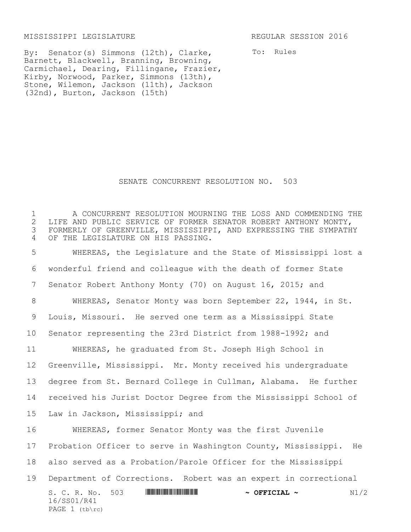MISSISSIPPI LEGISLATURE REGULAR SESSION 2016

16/SS01/R41 PAGE  $1$  (tb\rc)

To: Rules

By: Senator(s) Simmons (12th), Clarke, Barnett, Blackwell, Branning, Browning, Carmichael, Dearing, Fillingane, Frazier, Kirby, Norwood, Parker, Simmons (13th), Stone, Wilemon, Jackson (11th), Jackson (32nd), Burton, Jackson (15th)

SENATE CONCURRENT RESOLUTION NO. 503

1 A CONCURRENT RESOLUTION MOURNING THE LOSS AND COMMENDING THE 2 LIFE AND PUBLIC SERVICE OF FORMER SENATOR ROBERT ANTHONY MONTY, 2 LIFE AND PUBLIC SERVICE OF FORMER SENATOR ROBERT ANTHONY MONTY,<br>3 FORMERLY OF GREENVILLE, MISSISSIPPI, AND EXPRESSING THE SYMPATH 3 FORMERLY OF GREENVILLE, MISSISSIPPI, AND EXPRESSING THE SYMPATHY 4 OF THE LEGISLATURE ON HIS PASSING.

S. C. R. No. 503 \*SS01/R41\* **~ OFFICIAL ~** N1/2 WHEREAS, the Legislature and the State of Mississippi lost a wonderful friend and colleague with the death of former State Senator Robert Anthony Monty (70) on August 16, 2015; and WHEREAS, Senator Monty was born September 22, 1944, in St. Louis, Missouri. He served one term as a Mississippi State Senator representing the 23rd District from 1988-1992; and WHEREAS, he graduated from St. Joseph High School in Greenville, Mississippi. Mr. Monty received his undergraduate degree from St. Bernard College in Cullman, Alabama. He further received his Jurist Doctor Degree from the Mississippi School of Law in Jackson, Mississippi; and WHEREAS, former Senator Monty was the first Juvenile Probation Officer to serve in Washington County, Mississippi. He also served as a Probation/Parole Officer for the Mississippi Department of Corrections. Robert was an expert in correctional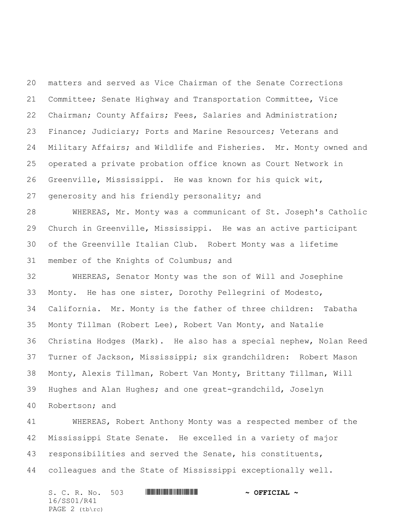matters and served as Vice Chairman of the Senate Corrections Committee; Senate Highway and Transportation Committee, Vice Chairman; County Affairs; Fees, Salaries and Administration; Finance; Judiciary; Ports and Marine Resources; Veterans and Military Affairs; and Wildlife and Fisheries. Mr. Monty owned and operated a private probation office known as Court Network in Greenville, Mississippi. He was known for his quick wit, generosity and his friendly personality; and

 WHEREAS, Mr. Monty was a communicant of St. Joseph's Catholic Church in Greenville, Mississippi. He was an active participant of the Greenville Italian Club. Robert Monty was a lifetime member of the Knights of Columbus; and

 WHEREAS, Senator Monty was the son of Will and Josephine Monty. He has one sister, Dorothy Pellegrini of Modesto, California. Mr. Monty is the father of three children: Tabatha Monty Tillman (Robert Lee), Robert Van Monty, and Natalie Christina Hodges (Mark). He also has a special nephew, Nolan Reed Turner of Jackson, Mississippi; six grandchildren: Robert Mason Monty, Alexis Tillman, Robert Van Monty, Brittany Tillman, Will Hughes and Alan Hughes; and one great-grandchild, Joselyn Robertson; and

 WHEREAS, Robert Anthony Monty was a respected member of the Mississippi State Senate. He excelled in a variety of major responsibilities and served the Senate, his constituents, colleagues and the State of Mississippi exceptionally well.

S. C. R. No. 503 \*SS01/R41\* **~ OFFICIAL ~** 16/SS01/R41 PAGE 2 (tb\rc)